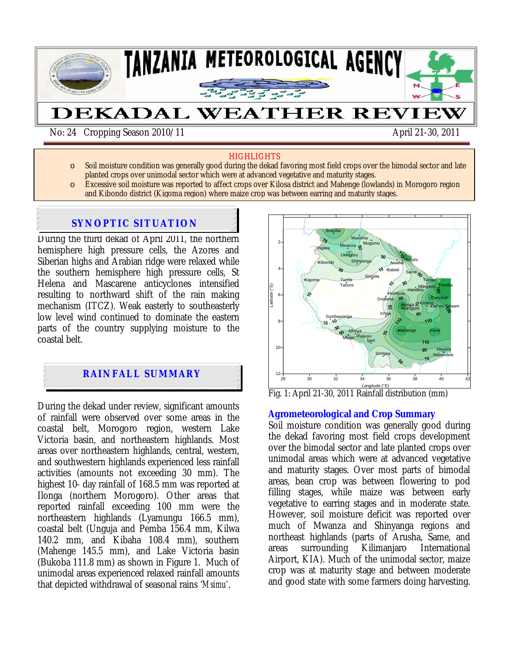

#### **HIGHLIGHTS**

- o Soil moisture condition was generally good during the dekad favoring most field crops over the bimodal sector and late planted crops over unimodal sector which were at advanced vegetative and maturity stages.
- o Excessive soil moisture was reported to affect crops over Kilosa district and Mahenge (lowlands) in Morogoro region and Kibondo district (Kigoma region) where maize crop was between earring and maturity stages.

# **SYNOPTIC SITUATION**

During the third dekad of April 2011, the northern hemisphere high pressure cells, the Azores and Siberian highs and Arabian ridge were relaxed while the southern hemisphere high pressure cells, St Helena and Mascarene anticyclones intensified resulting to northward shift of the rain making mechanism (ITCZ). Weak easterly to southeasterly low level wind continued to dominate the eastern parts of the country supplying moisture to the coastal belt.

# **RAINFALL SUMMARY**

During the dekad under review, significant amounts of rainfall were observed over some areas in the coastal belt, Morogoro region, western Lake Victoria basin, and northeastern highlands. Most areas over northeastern highlands, central, western, and southwestern highlands experienced less rainfall activities (amounts not exceeding 30 mm). The highest 10- day rainfall of 168.5 mm was reported at Ilonga (northern Morogoro). Other areas that reported rainfall exceeding 100 mm were the northeastern highlands (Lyamungu 166.5 mm), coastal belt (Unguja and Pemba 156.4 mm, Kilwa 140.2 mm, and Kibaha 108.4 mm), southern (Mahenge 145.5 mm), and Lake Victoria basin (Bukoba 111.8 mm) as shown in Figure 1. Much of unimodal areas experienced relaxed rainfall amounts that depicted withdrawal of seasonal rains '*Msimu'*.



Fig. 1: April 21-30, 2011 Rainfall distribution (mm)

#### **Agrometeorological and Crop Summary**

Soil moisture condition was generally good during the dekad favoring most field crops development over the bimodal sector and late planted crops over unimodal areas which were at advanced vegetative and maturity stages. Over most parts of bimodal areas, bean crop was between flowering to pod filling stages, while maize was between early vegetative to earring stages and in moderate state. However, soil moisture deficit was reported over much of Mwanza and Shinyanga regions and northeast highlands (parts of Arusha, Same, and areas surrounding Kilimanjaro International Airport, KIA). Much of the unimodal sector, maize crop was at maturity stage and between moderate and good state with some farmers doing harvesting.